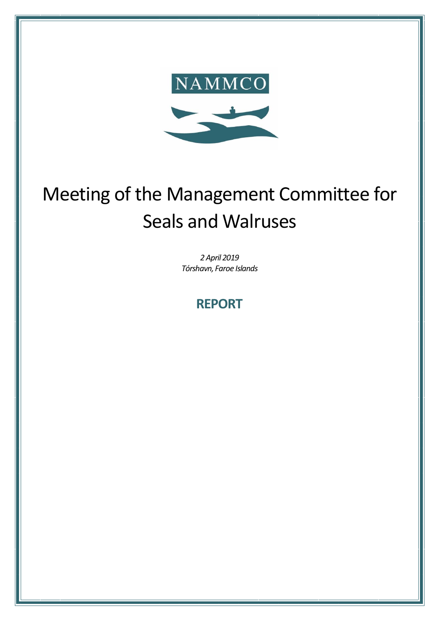

# Meeting of the Management Committee for Seals and Walruses

*2April 2019 Tórshavn, Faroe Islands*

## **REPORT**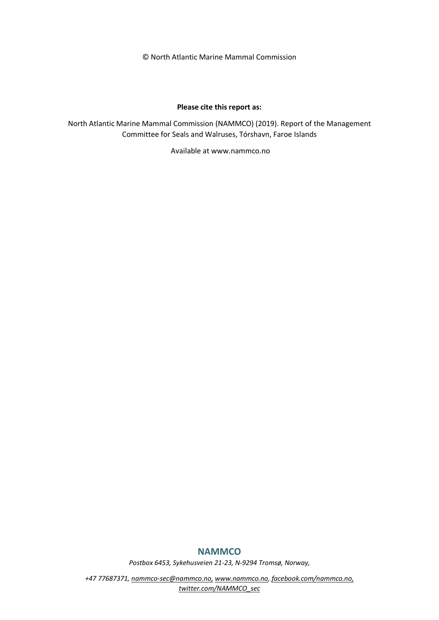© North Atlantic Marine Mammal Commission

#### **Please cite this report as:**

North Atlantic Marine Mammal Commission (NAMMCO) (2019). Report of the Management Committee for Seals and Walruses, Tórshavn, Faroe Islands

Available at www.nammco.no

#### **NAMMCO**

*Postbox 6453, Sykehusveien 21-23, N-9294 Tromsø, Norway,* 

*+47 77687371, [nammco-sec@nammco.no,](mailto:nammco-sec@nammco.no) [www.nammco.no,](http://www.nammco.no/) [facebook.com/nammco.no,](http://www.facebook.com/nammco.no) [twitter.com/NAMMCO\\_sec](https://twitter.com/NAMMCO_sec)*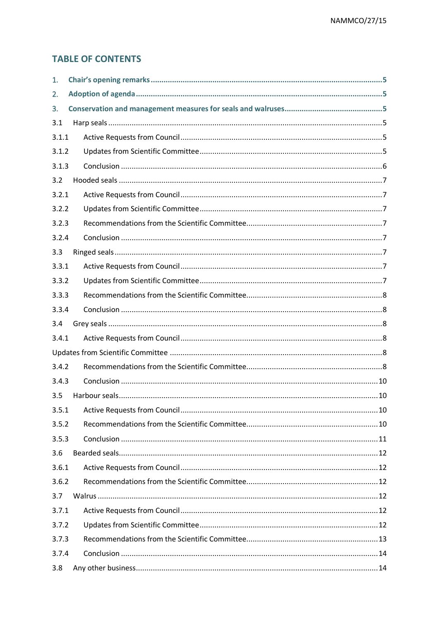## **TABLE OF CONTENTS**

| 1.    |  |
|-------|--|
| 2.    |  |
| 3.    |  |
| 3.1   |  |
| 3.1.1 |  |
| 3.1.2 |  |
| 3.1.3 |  |
| 3.2   |  |
| 3.2.1 |  |
| 3.2.2 |  |
| 3.2.3 |  |
| 3.2.4 |  |
| 3.3   |  |
| 3.3.1 |  |
| 3.3.2 |  |
| 3.3.3 |  |
| 3.3.4 |  |
| 3.4   |  |
| 3.4.1 |  |
|       |  |
| 3.4.2 |  |
| 3.4.3 |  |
| 3.5   |  |
| 3.5.1 |  |
| 3.5.2 |  |
| 3.5.3 |  |
| 3.6   |  |
| 3.6.1 |  |
| 3.6.2 |  |
| 3.7   |  |
| 3.7.1 |  |
| 3.7.2 |  |
| 3.7.3 |  |
| 3.7.4 |  |
| 3.8   |  |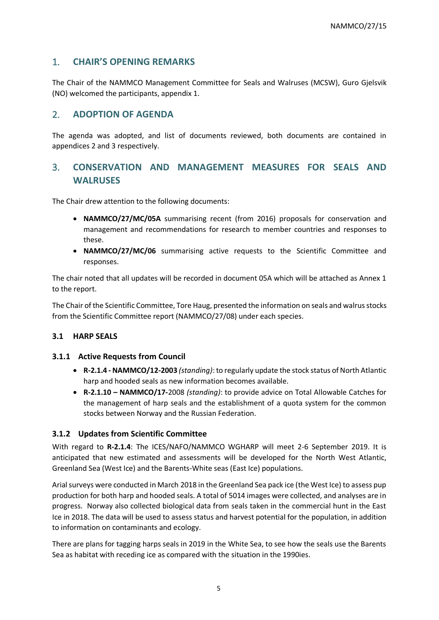## <span id="page-4-0"></span>1. **CHAIR'S OPENING REMARKS**

The Chair of the NAMMCO Management Committee for Seals and Walruses (MCSW), Guro Gjelsvik (NO) welcomed the participants, appendix 1.

### <span id="page-4-1"></span>2. **ADOPTION OF AGENDA**

The agenda was adopted, and list of documents reviewed, both documents are contained in appendices 2 and 3 respectively.

## <span id="page-4-2"></span>3. **CONSERVATION AND MANAGEMENT MEASURES FOR SEALS AND WALRUSES**

The Chair drew attention to the following documents:

- **NAMMCO/27/MC/05A** summarising recent (from 2016) proposals for conservation and management and recommendations for research to member countries and responses to these.
- **NAMMCO/27/MC/06** summarising active requests to the Scientific Committee and responses.

The chair noted that all updates will be recorded in document 05A which will be attached as Annex 1 to the report.

The Chair of the Scientific Committee, Tore Haug, presented the information on seals and walrus stocks from the Scientific Committee report (NAMMCO/27/08) under each species.

#### <span id="page-4-3"></span>**3.1 HARP SEALS**

#### <span id="page-4-4"></span>**3.1.1 Active Requests from Council**

- **R-2.1.4 - NAMMCO/12-2003** *(standing)*: to regularly update the stock status of North Atlantic harp and hooded seals as new information becomes available.
- **R-2.1.10 – NAMMCO/17-**2008 *(standing)*: to provide advice on Total Allowable Catches for the management of harp seals and the establishment of a quota system for the common stocks between Norway and the Russian Federation.

#### <span id="page-4-5"></span>**3.1.2 Updates from Scientific Committee**

With regard to **R-2.1.4**: The ICES/NAFO/NAMMCO WGHARP will meet 2-6 September 2019. It is anticipated that new estimated and assessments will be developed for the North West Atlantic, Greenland Sea (West Ice) and the Barents-White seas (East Ice) populations.

Arial surveys were conducted in March 2018 in the Greenland Sea pack ice (the West Ice) to assess pup production for both harp and hooded seals. A total of 5014 images were collected, and analyses are in progress. Norway also collected biological data from seals taken in the commercial hunt in the East Ice in 2018. The data will be used to assess status and harvest potential for the population, in addition to information on contaminants and ecology.

There are plans for tagging harps seals in 2019 in the White Sea, to see how the seals use the Barents Sea as habitat with receding ice as compared with the situation in the 1990ies.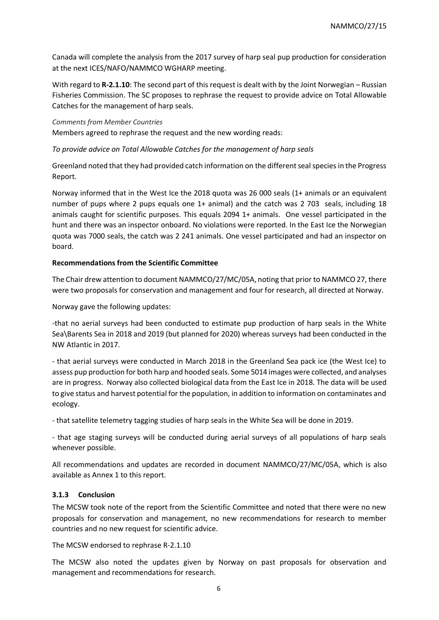Canada will complete the analysis from the 2017 survey of harp seal pup production for consideration at the next ICES/NAFO/NAMMCO WGHARP meeting.

With regard to **R-2.1.10**: The second part of this request is dealt with by the Joint Norwegian – Russian Fisheries Commission. The SC proposes to rephrase the request to provide advice on Total Allowable Catches for the management of harp seals.

#### *Comments from Member Countries*

Members agreed to rephrase the request and the new wording reads:

#### *To provide advice on Total Allowable Catches for the management of harp seals*

Greenland noted that they had provided catch information on the different seal species in the Progress Report.

Norway informed that in the West Ice the 2018 quota was 26 000 seals (1+ animals or an equivalent number of pups where 2 pups equals one 1+ animal) and the catch was 2 703 seals, including 18 animals caught for scientific purposes. This equals 2094 1+ animals. One vessel participated in the hunt and there was an inspector onboard. No violations were reported. In the East Ice the Norwegian quota was 7000 seals, the catch was 2 241 animals. One vessel participated and had an inspector on board.

#### **Recommendations from the Scientific Committee**

The Chair drew attention to document NAMMCO/27/MC/05A, noting that prior to NAMMCO 27, there were two proposals for conservation and management and four for research, all directed at Norway.

Norway gave the following updates:

-that no aerial surveys had been conducted to estimate pup production of harp seals in the White Sea\Barents Sea in 2018 and 2019 (but planned for 2020) whereas surveys had been conducted in the NW Atlantic in 2017.

- that aerial surveys were conducted in March 2018 in the Greenland Sea pack ice (the West Ice) to assess pup production for both harp and hooded seals. Some 5014 images were collected, and analyses are in progress. Norway also collected biological data from the East Ice in 2018. The data will be used to give status and harvest potential for the population, in addition to information on contaminates and ecology.

- that satellite telemetry tagging studies of harp seals in the White Sea will be done in 2019.

- that age staging surveys will be conducted during aerial surveys of all populations of harp seals whenever possible.

All recommendations and updates are recorded in document NAMMCO/27/MC/05A, which is also available as Annex 1 to this report.

#### <span id="page-5-0"></span>**3.1.3 Conclusion**

The MCSW took note of the report from the Scientific Committee and noted that there were no new proposals for conservation and management, no new recommendations for research to member countries and no new request for scientific advice.

The MCSW endorsed to rephrase R-2.1.10

The MCSW also noted the updates given by Norway on past proposals for observation and management and recommendations for research.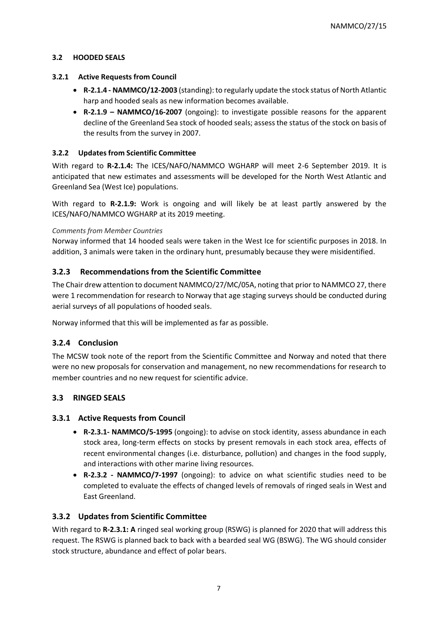#### <span id="page-6-0"></span>**3.2 HOODED SEALS**

#### <span id="page-6-1"></span>**3.2.1 Active Requests from Council**

- **R-2.1.4 - NAMMCO/12-2003** (standing): to regularly update the stock status of North Atlantic harp and hooded seals as new information becomes available.
- **R-2.1.9 – NAMMCO/16-2007** (ongoing): to investigate possible reasons for the apparent decline of the Greenland Sea stock of hooded seals; assess the status of the stock on basis of the results from the survey in 2007.

#### <span id="page-6-2"></span>**3.2.2 Updates from Scientific Committee**

With regard to **R-2.1.4:** The ICES/NAFO/NAMMCO WGHARP will meet 2-6 September 2019. It is anticipated that new estimates and assessments will be developed for the North West Atlantic and Greenland Sea (West Ice) populations.

With regard to **R-2.1.9:** Work is ongoing and will likely be at least partly answered by the ICES/NAFO/NAMMCO WGHARP at its 2019 meeting.

#### *Comments from Member Countries*

Norway informed that 14 hooded seals were taken in the West Ice for scientific purposes in 2018. In addition, 3 animals were taken in the ordinary hunt, presumably because they were misidentified.

#### <span id="page-6-3"></span>**3.2.3 Recommendations from the Scientific Committee**

The Chair drew attention to document NAMMCO/27/MC/05A, noting that prior to NAMMCO 27, there were 1 recommendation for research to Norway that age staging surveys should be conducted during aerial surveys of all populations of hooded seals.

Norway informed that this will be implemented as far as possible.

#### <span id="page-6-4"></span>**3.2.4 Conclusion**

The MCSW took note of the report from the Scientific Committee and Norway and noted that there were no new proposals for conservation and management, no new recommendations for research to member countries and no new request for scientific advice.

#### <span id="page-6-5"></span>**3.3 RINGED SEALS**

#### <span id="page-6-6"></span>**3.3.1 Active Requests from Council**

- **R-2.3.1- NAMMCO/5-1995** (ongoing): to advise on stock identity, assess abundance in each stock area, long-term effects on stocks by present removals in each stock area, effects of recent environmental changes (i.e. disturbance, pollution) and changes in the food supply, and interactions with other marine living resources.
- **R-2.3.2 - NAMMCO/7-1997** (ongoing): to advice on what scientific studies need to be completed to evaluate the effects of changed levels of removals of ringed seals in West and East Greenland.

#### <span id="page-6-7"></span>**3.3.2 Updates from Scientific Committee**

With regard to **R-2.3.1:** A ringed seal working group (RSWG) is planned for 2020 that will address this request. The RSWG is planned back to back with a bearded seal WG (BSWG). The WG should consider stock structure, abundance and effect of polar bears.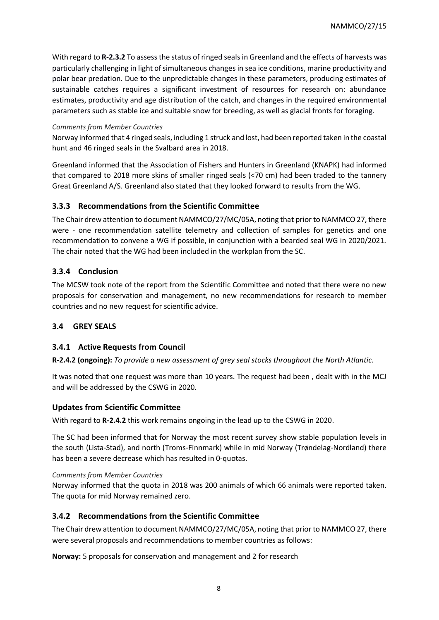With regard to **R-2.3.2** To assess the status of ringed seals in Greenland and the effects of harvests was particularly challenging in light of simultaneous changes in sea ice conditions, marine productivity and polar bear predation. Due to the unpredictable changes in these parameters, producing estimates of sustainable catches requires a significant investment of resources for research on: abundance estimates, productivity and age distribution of the catch, and changes in the required environmental parameters such as stable ice and suitable snow for breeding, as well as glacial fronts for foraging.

#### *Comments from Member Countries*

Norway informed that 4 ringed seals, including 1 struck and lost, had been reported taken in the coastal hunt and 46 ringed seals in the Svalbard area in 2018.

Greenland informed that the Association of Fishers and Hunters in Greenland (KNAPK) had informed that compared to 2018 more skins of smaller ringed seals (<70 cm) had been traded to the tannery Great Greenland A/S. Greenland also stated that they looked forward to results from the WG.

#### <span id="page-7-0"></span>**3.3.3 Recommendations from the Scientific Committee**

The Chair drew attention to document NAMMCO/27/MC/05A, noting that prior to NAMMCO 27, there were - one recommendation satellite telemetry and collection of samples for genetics and one recommendation to convene a WG if possible, in conjunction with a bearded seal WG in 2020/2021. The chair noted that the WG had been included in the workplan from the SC.

#### <span id="page-7-1"></span>**3.3.4 Conclusion**

The MCSW took note of the report from the Scientific Committee and noted that there were no new proposals for conservation and management, no new recommendations for research to member countries and no new request for scientific advice.

#### <span id="page-7-2"></span>**3.4 GREY SEALS**

#### <span id="page-7-3"></span>**3.4.1 Active Requests from Council**

**R-2.4.2 (ongoing):** *To provide a new assessment of grey seal stocks throughout the North Atlantic.* 

It was noted that one request was more than 10 years. The request had been , dealt with in the MCJ and will be addressed by the CSWG in 2020.

#### <span id="page-7-4"></span>**Updates from Scientific Committee**

With regard to **R-2.4.2** this work remains ongoing in the lead up to the CSWG in 2020.

The SC had been informed that for Norway the most recent survey show stable population levels in the south (Lista-Stad), and north (Troms-Finnmark) while in mid Norway (Trøndelag-Nordland) there has been a severe decrease which has resulted in 0-quotas.

#### *Comments from Member Countries*

Norway informed that the quota in 2018 was 200 animals of which 66 animals were reported taken. The quota for mid Norway remained zero.

#### <span id="page-7-5"></span>**3.4.2 Recommendations from the Scientific Committee**

The Chair drew attention to document NAMMCO/27/MC/05A, noting that prior to NAMMCO 27, there were several proposals and recommendations to member countries as follows:

**Norway:** 5 proposals for conservation and management and 2 for research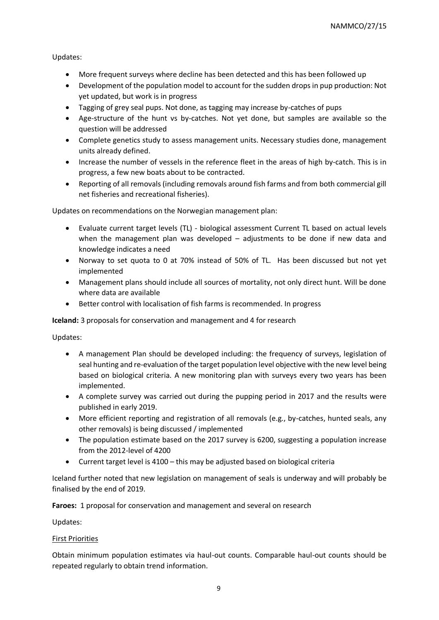Updates:

- More frequent surveys where decline has been detected and this has been followed up
- Development of the population model to account for the sudden drops in pup production: Not yet updated, but work is in progress
- Tagging of grey seal pups. Not done, as tagging may increase by-catches of pups
- Age-structure of the hunt vs by-catches. Not yet done, but samples are available so the question will be addressed
- Complete genetics study to assess management units. Necessary studies done, management units already defined.
- Increase the number of vessels in the reference fleet in the areas of high by-catch. This is in progress, a few new boats about to be contracted.
- Reporting of all removals (including removals around fish farms and from both commercial gill net fisheries and recreational fisheries).

Updates on recommendations on the Norwegian management plan:

- Evaluate current target levels (TL) biological assessment Current TL based on actual levels when the management plan was developed – adjustments to be done if new data and knowledge indicates a need
- Norway to set quota to 0 at 70% instead of 50% of TL. Has been discussed but not yet implemented
- Management plans should include all sources of mortality, not only direct hunt. Will be done where data are available
- Better control with localisation of fish farms is recommended. In progress

**Iceland:** 3 proposals for conservation and management and 4 for research

Updates:

- A management Plan should be developed including: the frequency of surveys, legislation of seal hunting and re-evaluation of the target population level objective with the new level being based on biological criteria. A new monitoring plan with surveys every two years has been implemented.
- A complete survey was carried out during the pupping period in 2017 and the results were published in early 2019.
- More efficient reporting and registration of all removals (e.g., by-catches, hunted seals, any other removals) is being discussed / implemented
- The population estimate based on the 2017 survey is 6200, suggesting a population increase from the 2012-level of 4200
- Current target level is 4100 this may be adjusted based on biological criteria

Iceland further noted that new legislation on management of seals is underway and will probably be finalised by the end of 2019.

**Faroes:** 1 proposal for conservation and management and several on research

Updates:

#### First Priorities

Obtain minimum population estimates via haul-out counts. Comparable haul-out counts should be repeated regularly to obtain trend information.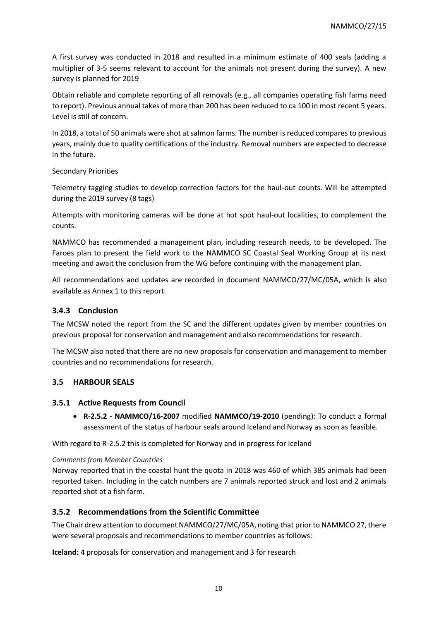A first survey was conducted in 2018 and resulted in a minimum estimate of 400 seals (adding a multiplier of 3-5 seems relevant to account for the animals not present during the survey). A new survey is planned for 2019

Obtain reliable and complete reporting of all removals (e.g., all companies operating fish farms need to report). Previous annual takes of more than 200 has been reduced to ca 100 in most recent 5 years. Level is still of concern.

In 2018, a total of 50 animals were shot at salmon farms. The number is reduced compares to previous years, mainly due to quality certifications of the industry. Removal numbers are expected to decrease in the future.

#### Secondary Priorities

Telemetry tagging studies to develop correction factors for the haul-out counts. Will be attempted during the 2019 survey (8 tags)

Attempts with monitoring cameras will be done at hot spot haul-out localities, to complement the counts.

NAMMCO has recommended a management plan, including research needs, to be developed. The Faroes plan to present the field work to the NAMMCO SC Coastal Seal Working Group at its next meeting and await the conclusion from the WG before continuing with the management plan.

All recommendations and updates are recorded in document NAMMCO/27/MC/05A, which is also available as Annex 1 to this report.

#### <span id="page-9-0"></span>**3.4.3 Conclusion**

The MCSW noted the report from the SC and the different updates given by member countries on previous proposal for conservation and management and also recommendations for research.

The MCSW also noted that there are no new proposals for conservation and management to member countries and no recommendations for research.

#### <span id="page-9-1"></span>**3.5 HARBOUR SEALS**

#### <span id="page-9-2"></span>**3.5.1 Active Requests from Council**

• **R-2.5.2 - NAMMCO/16-2007** modified **NAMMCO/19-2010** (pending): To conduct a formal assessment of the status of harbour seals around Iceland and Norway as soon as feasible.

With regard to R-2.5.2 this is completed for Norway and in progress for Iceland

#### *Comments from Member Countries*

Norway reported that in the coastal hunt the quota in 2018 was 460 of which 385 animals had been reported taken. Including in the catch numbers are 7 animals reported struck and lost and 2 animals reported shot at a fish farm.

#### <span id="page-9-3"></span>**3.5.2 Recommendations from the Scientific Committee**

The Chair drew attention to document NAMMCO/27/MC/05A, noting that prior to NAMMCO 27, there were several proposals and recommendations to member countries as follows:

**Iceland:** 4 proposals for conservation and management and 3 for research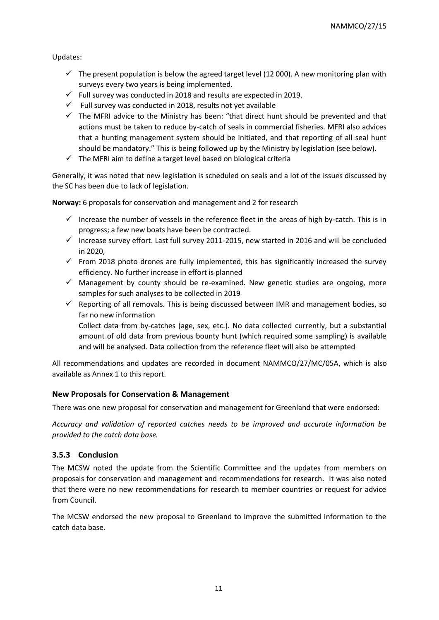Updates:

- $\checkmark$  The present population is below the agreed target level (12 000). A new monitoring plan with surveys every two years is being implemented.
- $\checkmark$  Full survey was conducted in 2018 and results are expected in 2019.
- $\checkmark$  Full survey was conducted in 2018, results not yet available
- $\checkmark$  The MFRI advice to the Ministry has been: "that direct hunt should be prevented and that actions must be taken to reduce by-catch of seals in commercial fisheries. MFRI also advices that a hunting management system should be initiated, and that reporting of all seal hunt should be mandatory." This is being followed up by the Ministry by legislation (see below).
- $\checkmark$  The MFRI aim to define a target level based on biological criteria

Generally, it was noted that new legislation is scheduled on seals and a lot of the issues discussed by the SC has been due to lack of legislation.

**Norway:** 6 proposals for conservation and management and 2 for research

- $\checkmark$  Increase the number of vessels in the reference fleet in the areas of high by-catch. This is in progress; a few new boats have been be contracted.
- ✓ Increase survey effort. Last full survey 2011-2015, new started in 2016 and will be concluded in 2020,
- $\checkmark$  From 2018 photo drones are fully implemented, this has significantly increased the survey efficiency. No further increase in effort is planned
- $\checkmark$  Management by county should be re-examined. New genetic studies are ongoing, more samples for such analyses to be collected in 2019
- $\checkmark$  Reporting of all removals. This is being discussed between IMR and management bodies, so far no new information

Collect data from by-catches (age, sex, etc.). No data collected currently, but a substantial amount of old data from previous bounty hunt (which required some sampling) is available and will be analysed. Data collection from the reference fleet will also be attempted

All recommendations and updates are recorded in document NAMMCO/27/MC/05A, which is also available as Annex 1 to this report.

#### **New Proposals for Conservation & Management**

There was one new proposal for conservation and management for Greenland that were endorsed:

*Accuracy and validation of reported catches needs to be improved and accurate information be provided to the catch data base.*

#### <span id="page-10-0"></span>**3.5.3 Conclusion**

The MCSW noted the update from the Scientific Committee and the updates from members on proposals for conservation and management and recommendations for research. It was also noted that there were no new recommendations for research to member countries or request for advice from Council.

The MCSW endorsed the new proposal to Greenland to improve the submitted information to the catch data base.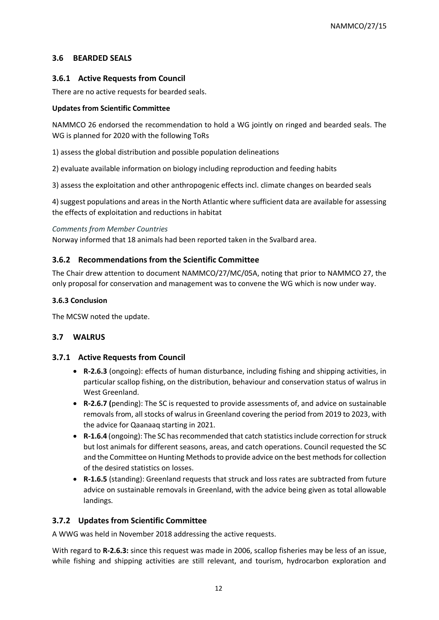#### <span id="page-11-0"></span>**3.6 BEARDED SEALS**

#### <span id="page-11-1"></span>**3.6.1 Active Requests from Council**

There are no active requests for bearded seals.

#### **Updates from Scientific Committee**

NAMMCO 26 endorsed the recommendation to hold a WG jointly on ringed and bearded seals. The WG is planned for 2020 with the following ToRs

1) assess the global distribution and possible population delineations

2) evaluate available information on biology including reproduction and feeding habits

3) assess the exploitation and other anthropogenic effects incl. climate changes on bearded seals

4) suggest populations and areas in the North Atlantic where sufficient data are available for assessing the effects of exploitation and reductions in habitat

#### *Comments from Member Countries*

Norway informed that 18 animals had been reported taken in the Svalbard area.

#### <span id="page-11-2"></span>**3.6.2 Recommendations from the Scientific Committee**

The Chair drew attention to document NAMMCO/27/MC/05A, noting that prior to NAMMCO 27, the only proposal for conservation and management was to convene the WG which is now under way.

#### **3.6.3 Conclusion**

The MCSW noted the update.

#### <span id="page-11-3"></span>**3.7 WALRUS**

#### <span id="page-11-4"></span>**3.7.1 Active Requests from Council**

- **R-2.6.3** (ongoing): effects of human disturbance, including fishing and shipping activities, in particular scallop fishing, on the distribution, behaviour and conservation status of walrus in West Greenland.
- **R-2.6.7 (**pending): The SC is requested to provide assessments of, and advice on sustainable removals from, all stocks of walrus in Greenland covering the period from 2019 to 2023, with the advice for Qaanaaq starting in 2021.
- **R-1.6.4** (ongoing): The SC has recommended that catch statistics include correction for struck but lost animals for different seasons, areas, and catch operations. Council requested the SC and the Committee on Hunting Methods to provide advice on the best methods for collection of the desired statistics on losses.
- **R-1.6.5** (standing): Greenland requests that struck and loss rates are subtracted from future advice on sustainable removals in Greenland, with the advice being given as total allowable landings.

#### <span id="page-11-5"></span>**3.7.2 Updates from Scientific Committee**

A WWG was held in November 2018 addressing the active requests.

With regard to **R-2.6.3:** since this request was made in 2006, scallop fisheries may be less of an issue, while fishing and shipping activities are still relevant, and tourism, hydrocarbon exploration and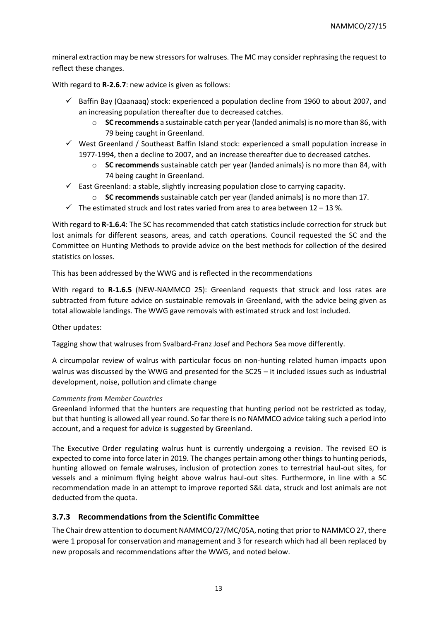mineral extraction may be new stressors for walruses. The MC may consider rephrasing the request to reflect these changes.

With regard to **R-2.6.7**: new advice is given as follows:

- $\checkmark$  Baffin Bay (Qaanaaq) stock: experienced a population decline from 1960 to about 2007, and an increasing population thereafter due to decreased catches.
	- o **SC recommends** a sustainable catch per year (landed animals) is no more than 86, with 79 being caught in Greenland.
- $\checkmark$  West Greenland / Southeast Baffin Island stock: experienced a small population increase in 1977-1994, then a decline to 2007, and an increase thereafter due to decreased catches.
	- o **SC recommends** sustainable catch per year (landed animals) is no more than 84, with 74 being caught in Greenland.
- $\checkmark$  East Greenland: a stable, slightly increasing population close to carrying capacity.
	- o **SC recommends** sustainable catch per year (landed animals) is no more than 17.
- $\checkmark$  The estimated struck and lost rates varied from area to area between 12 13 %.

With regard to **R-1.6.4**: The SC has recommended that catch statistics include correction for struck but lost animals for different seasons, areas, and catch operations. Council requested the SC and the Committee on Hunting Methods to provide advice on the best methods for collection of the desired statistics on losses.

This has been addressed by the WWG and is reflected in the recommendations

With regard to **R-1.6.5** (NEW-NAMMCO 25): Greenland requests that struck and loss rates are subtracted from future advice on sustainable removals in Greenland, with the advice being given as total allowable landings. The WWG gave removals with estimated struck and lost included.

Other updates:

Tagging show that walruses from Svalbard-Franz Josef and Pechora Sea move differently.

A circumpolar review of walrus with particular focus on non-hunting related human impacts upon walrus was discussed by the WWG and presented for the SC25 – it included issues such as industrial development, noise, pollution and climate change

#### *Comments from Member Countries*

Greenland informed that the hunters are requesting that hunting period not be restricted as today, but that hunting is allowed all year round. So far there is no NAMMCO advice taking such a period into account, and a request for advice is suggested by Greenland.

The Executive Order regulating walrus hunt is currently undergoing a revision. The revised EO is expected to come into force later in 2019. The changes pertain among other things to hunting periods, hunting allowed on female walruses, inclusion of protection zones to terrestrial haul-out sites, for vessels and a minimum flying height above walrus haul-out sites. Furthermore, in line with a SC recommendation made in an attempt to improve reported S&L data, struck and lost animals are not deducted from the quota.

#### <span id="page-12-0"></span>**3.7.3 Recommendations from the Scientific Committee**

The Chair drew attention to document NAMMCO/27/MC/05A, noting that prior to NAMMCO 27, there were 1 proposal for conservation and management and 3 for research which had all been replaced by new proposals and recommendations after the WWG, and noted below.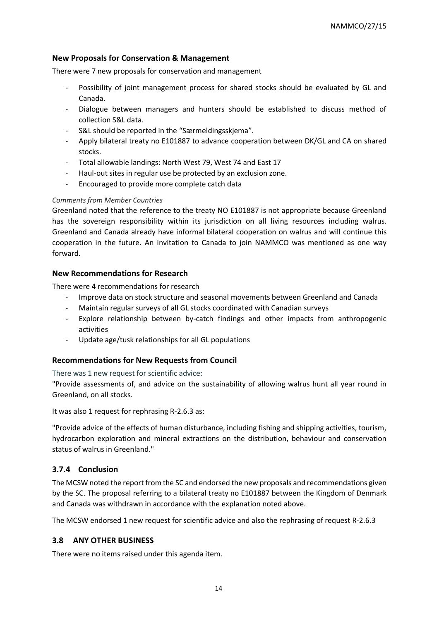#### **New Proposals for Conservation & Management**

There were 7 new proposals for conservation and management

- Possibility of joint management process for shared stocks should be evaluated by GL and Canada.
- Dialogue between managers and hunters should be established to discuss method of collection S&L data.
- S&L should be reported in the "Særmeldingsskjema".
- Apply bilateral treaty no E101887 to advance cooperation between DK/GL and CA on shared stocks.
- Total allowable landings: North West 79, West 74 and East 17
- Haul-out sites in regular use be protected by an exclusion zone.
- Encouraged to provide more complete catch data

#### *Comments from Member Countries*

Greenland noted that the reference to the treaty NO E101887 is not appropriate because Greenland has the sovereign responsibility within its jurisdiction on all living resources including walrus. Greenland and Canada already have informal bilateral cooperation on walrus and will continue this cooperation in the future. An invitation to Canada to join NAMMCO was mentioned as one way forward.

#### **New Recommendations for Research**

There were 4 recommendations for research

- Improve data on stock structure and seasonal movements between Greenland and Canada
- Maintain regular surveys of all GL stocks coordinated with Canadian surveys
- Explore relationship between by-catch findings and other impacts from anthropogenic activities
- Update age/tusk relationships for all GL populations

#### **Recommendations for New Requests from Council**

There was 1 new request for scientific advice:

"Provide assessments of, and advice on the sustainability of allowing walrus hunt all year round in Greenland, on all stocks.

It was also 1 request for rephrasing R-2.6.3 as:

"Provide advice of the effects of human disturbance, including fishing and shipping activities, tourism, hydrocarbon exploration and mineral extractions on the distribution, behaviour and conservation status of walrus in Greenland."

#### <span id="page-13-0"></span>**3.7.4 Conclusion**

The MCSW noted the report from the SC and endorsed the new proposals and recommendations given by the SC. The proposal referring to a bilateral treaty no E101887 between the Kingdom of Denmark and Canada was withdrawn in accordance with the explanation noted above.

The MCSW endorsed 1 new request for scientific advice and also the rephrasing of request R-2.6.3

#### <span id="page-13-1"></span>**3.8 ANY OTHER BUSINESS**

There were no items raised under this agenda item.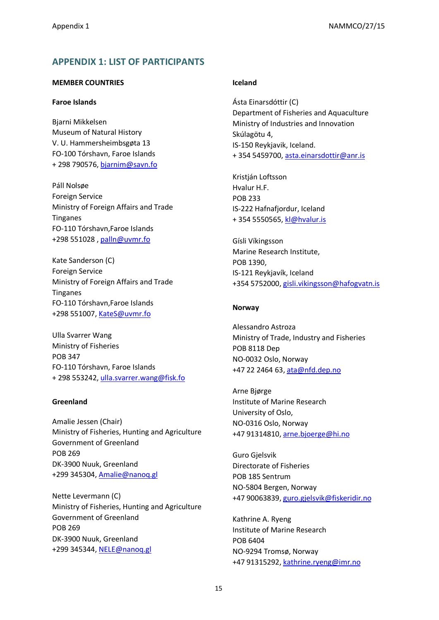## <span id="page-14-0"></span>**APPENDIX 1: LIST OF PARTICIPANTS**

#### **MEMBER COUNTRIES**

#### **Faroe Islands**

Bjarni Mikkelsen Museum of Natural History V. U. Hammersheimbsgøta 13 FO-100 Tórshavn, Faroe Islands + 298 790576, [bjarnim@savn.fo](mailto:bjarnim@savn.fo)

Páll Nolsøe Foreign Service Ministry of Foreign Affairs and Trade Tinganes FO-110 Tórshavn,Faroe Islands +298 551028 , [palln@uvmr.fo](mailto:palln@uvmr.fo)

Kate Sanderson (C) Foreign Service Ministry of Foreign Affairs and Trade Tinganes FO-110 Tórshavn,Faroe Islands +298 551007, [KateS@uvmr.fo](mailto:KateS@uvmr.fo)

Ulla Svarrer Wang Ministry of Fisheries POB 347 FO-110 Tórshavn, Faroe Islands + 298 553242, [ulla.svarrer.wang@fisk.fo](mailto:ulla.svarrer.wang@fisk.fo)

#### **Greenland**

Amalie Jessen (Chair) Ministry of Fisheries, Hunting and Agriculture Government of Greenland POB 269 DK-3900 Nuuk, Greenland +299 345304, [Amalie@nanoq.gl](mailto:Amalie@nanoq.gl)

Nette Levermann (C) Ministry of Fisheries, Hunting and Agriculture Government of Greenland POB 269 DK-3900 Nuuk, Greenland +299 345344, [NELE@nanoq.gl](mailto:NELE@nanoq.gl)

#### **Iceland**

Ásta Einarsdóttir (C) Department of Fisheries and Aquaculture Ministry of Industries and Innovation Skúlagötu 4, IS-150 Reykjavik, Iceland. + 354 5459700, [asta.einarsdottir@anr.is](mailto:asta.einarsdottir@anr.is)

Kristián Loftsson Hvalur H.F. POB 233 IS-222 Hafnafjordur, Iceland + 354 5550565, [kl@hvalur.is](mailto:kl@hvalur.is)

Gísli Víkingsson Marine Research Institute, POB 1390, IS-121 Reykjavík, Iceland +354 5752000, [gisli.vikingsson@hafogvatn.is](mailto:gisli.vikingsson@hafogvatn.is)

#### **Norway**

Alessandro Astroza Ministry of Trade, Industry and Fisheries POB 8118 Dep NO-0032 Oslo, Norway +47 22 2464 63, [ata@nfd.dep.no](mailto:ata@nfd.dep.no)

Arne Bjørge Institute of Marine Research University of Oslo, NO-0316 Oslo, Norway +47 91314810, [arne.bjoerge@hi.no](mailto:arne.bjoerge@hi.no)

Guro Gjelsvik Directorate of Fisheries POB 185 Sentrum NO-5804 Bergen, Norway +47 90063839, [guro.gjelsvik@fiskeridir.no](mailto:guro.gjelsvik@fiskeridir.no)

Kathrine A. Ryeng Institute of Marine Research POB 6404 NO-9294 Tromsø, Norway +47 91315292, [kathrine.ryeng@imr.no](mailto:kathrine.ryeng@imr.no)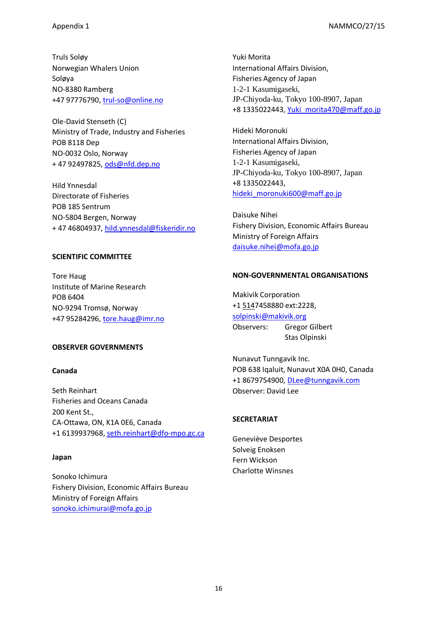Truls Soløy Norwegian Whalers Union Soløya NO-8380 Ramberg +47 97776790, [trul-so@online.no](mailto:trul-so@online.no)

Ole-David Stenseth (C) Ministry of Trade, Industry and Fisheries POB 8118 Dep NO-0032 Oslo, Norway + 47 92497825, [ods@nfd.dep.no](mailto:ods@nfd.dep.no)

Hild Ynnesdal Directorate of Fisheries POB 185 Sentrum NO-5804 Bergen, Norway + 47 46804937, [hild.ynnesdal@fiskeridir.no](mailto:hild.ynnesdal@fiskeridir.no)

#### **SCIENTIFIC COMMITTEE**

Tore Haug Institute of Marine Research POB 6404 NO-9294 Tromsø, Norway +47 95284296, [tore.haug@imr.no](mailto:tore.haug@imr.no)

#### **OBSERVER GOVERNMENTS**

#### **Canada**

Seth Reinhart Fisheries and Oceans Canada 200 Kent St., CA-Ottawa, ON, K1A 0E6, Canada +1 6139937968, [seth.reinhart@dfo-mpo.gc.ca](mailto:seth.reinhart@dfo-mpo.gc.ca)

#### **Japan**

Sonoko Ichimura Fishery Division, Economic Affairs Bureau Ministry of Foreign Affairs [sonoko.ichimurai@mofa.go.jp](mailto:sonoko.ichimurai@mofa.go.jp)

Yuki Morita International Affairs Division, Fisheries Agency of Japan 1-2-1 Kasumigaseki, JP-Chiyoda-ku, Tokyo 100-8907, Japan +8 1335022443, [Yuki\\_morita470@maff.go.jp](mailto:Yuki_morita470@maff.go.jp)

Hideki Moronuki International Affairs Division, Fisheries Agency of Japan 1-2-1 Kasumigaseki, JP-Chiyoda-ku, Tokyo 100-8907, Japan +8 1335022443, hideki moronuki600@maff.go.jp

Daisuke Nihei Fishery Division, Economic Affairs Bureau Ministry of Foreign Affairs [daisuke.nihei@mofa.go.jp](mailto:daisuke.nihei@mofa.go.jp)

#### **NON-GOVERNMENTAL ORGANISATIONS**

Makivik Corporation [+1 5147](tel:(514))458880 ext:2228, [solpinski@makivik.org](mailto:solpinski@makivik.org) Observers: Gregor Gilbert Stas Olpinski

Nunavut Tunngavik Inc. POB 638 Iqaluit, Nunavut X0A 0H0, Canada +1 8679754900, [DLee@tunngavik.com](mailto:DLee@tunngavik.com) Observer: David Lee

#### **SECRETARIAT**

Geneviève Desportes Solveig Enoksen Fern Wickson Charlotte Winsnes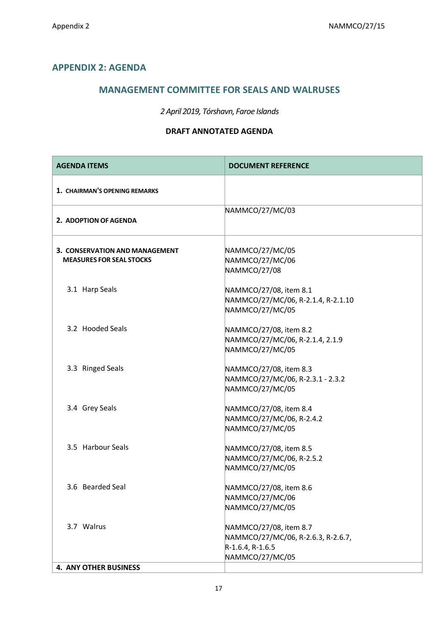## <span id="page-16-0"></span>**APPENDIX 2: AGENDA**

## **MANAGEMENT COMMITTEE FOR SEALS AND WALRUSES**

## *2 April 2019, Tórshavn, Faroe Islands*

#### **DRAFT ANNOTATED AGENDA**

| <b>AGENDA ITEMS</b>                                               | <b>DOCUMENT REFERENCE</b>                                                                           |
|-------------------------------------------------------------------|-----------------------------------------------------------------------------------------------------|
| 1. CHAIRMAN'S OPENING REMARKS                                     |                                                                                                     |
| 2. ADOPTION OF AGENDA                                             | NAMMCO/27/MC/03                                                                                     |
| 3. CONSERVATION AND MANAGEMENT<br><b>MEASURES FOR SEAL STOCKS</b> | NAMMCO/27/MC/05<br>NAMMCO/27/MC/06<br>NAMMCO/27/08                                                  |
| 3.1 Harp Seals                                                    | NAMMCO/27/08, item 8.1<br>NAMMCO/27/MC/06, R-2.1.4, R-2.1.10<br>NAMMCO/27/MC/05                     |
| 3.2 Hooded Seals                                                  | NAMMCO/27/08, item 8.2<br>NAMMCO/27/MC/06, R-2.1.4, 2.1.9<br>NAMMCO/27/MC/05                        |
| 3.3 Ringed Seals                                                  | NAMMCO/27/08, item 8.3<br>NAMMCO/27/MC/06, R-2.3.1 - 2.3.2<br>NAMMCO/27/MC/05                       |
| 3.4 Grey Seals                                                    | NAMMCO/27/08, item 8.4<br>NAMMCO/27/MC/06, R-2.4.2<br>NAMMCO/27/MC/05                               |
| 3.5 Harbour Seals                                                 | NAMMCO/27/08, item 8.5<br>NAMMCO/27/MC/06, R-2.5.2<br>NAMMCO/27/MC/05                               |
| 3.6 Bearded Seal                                                  | NAMMCO/27/08, item 8.6<br>NAMMCO/27/MC/06<br>NAMMCO/27/MC/05                                        |
| 3.7 Walrus                                                        | NAMMCO/27/08, item 8.7<br>NAMMCO/27/MC/06, R-2.6.3, R-2.6.7,<br>R-1.6.4, R-1.6.5<br>NAMMCO/27/MC/05 |
| <b>4. ANY OTHER BUSINESS</b>                                      |                                                                                                     |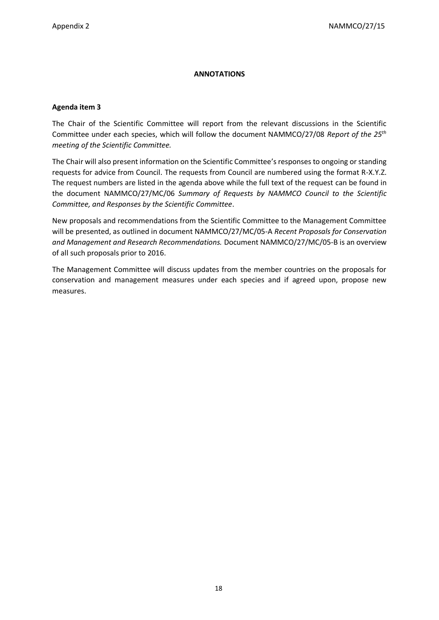#### **ANNOTATIONS**

#### **Agenda item 3**

The Chair of the Scientific Committee will report from the relevant discussions in the Scientific Committee under each species, which will follow the document NAMMCO/27/08 *Report of the 25th meeting of the Scientific Committee.* 

The Chair will also present information on the Scientific Committee's responses to ongoing or standing requests for advice from Council. The requests from Council are numbered using the format R-X.Y.Z. The request numbers are listed in the agenda above while the full text of the request can be found in the document NAMMCO/27/MC/06 *Summary of Requests by NAMMCO Council to the Scientific Committee, and Responses by the Scientific Committee*.

New proposals and recommendations from the Scientific Committee to the Management Committee will be presented, as outlined in document NAMMCO/27/MC/05-A *Recent Proposals for Conservation and Management and Research Recommendations.* Document NAMMCO/27/MC/05-B is an overview of all such proposals prior to 2016.

The Management Committee will discuss updates from the member countries on the proposals for conservation and management measures under each species and if agreed upon, propose new measures.